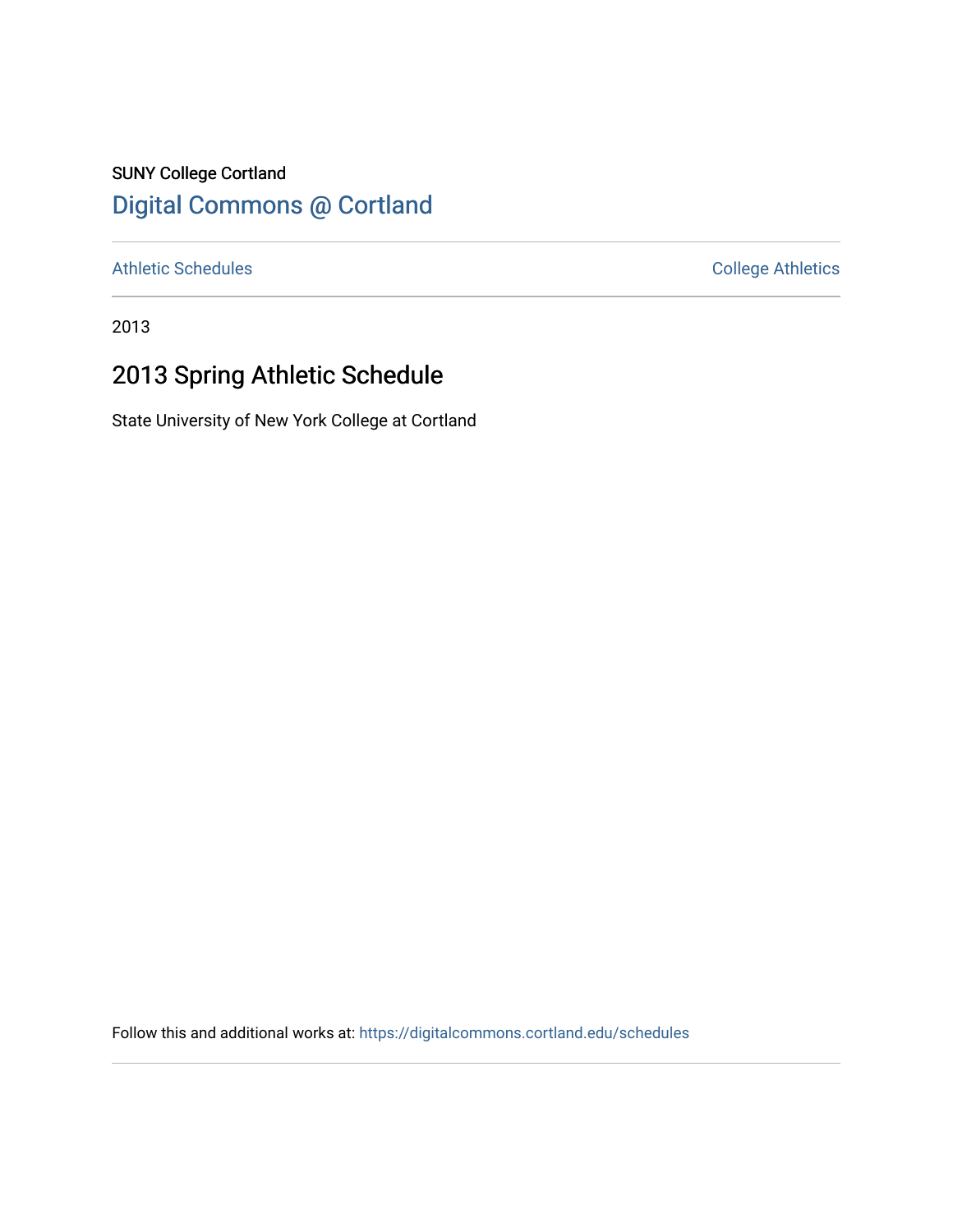### SUNY College Cortland [Digital Commons @ Cortland](https://digitalcommons.cortland.edu/)

[Athletic Schedules](https://digitalcommons.cortland.edu/schedules) **College Athletics** College Athletics

2013

## 2013 Spring Athletic Schedule

State University of New York College at Cortland

Follow this and additional works at: [https://digitalcommons.cortland.edu/schedules](https://digitalcommons.cortland.edu/schedules?utm_source=digitalcommons.cortland.edu%2Fschedules%2F107&utm_medium=PDF&utm_campaign=PDFCoverPages)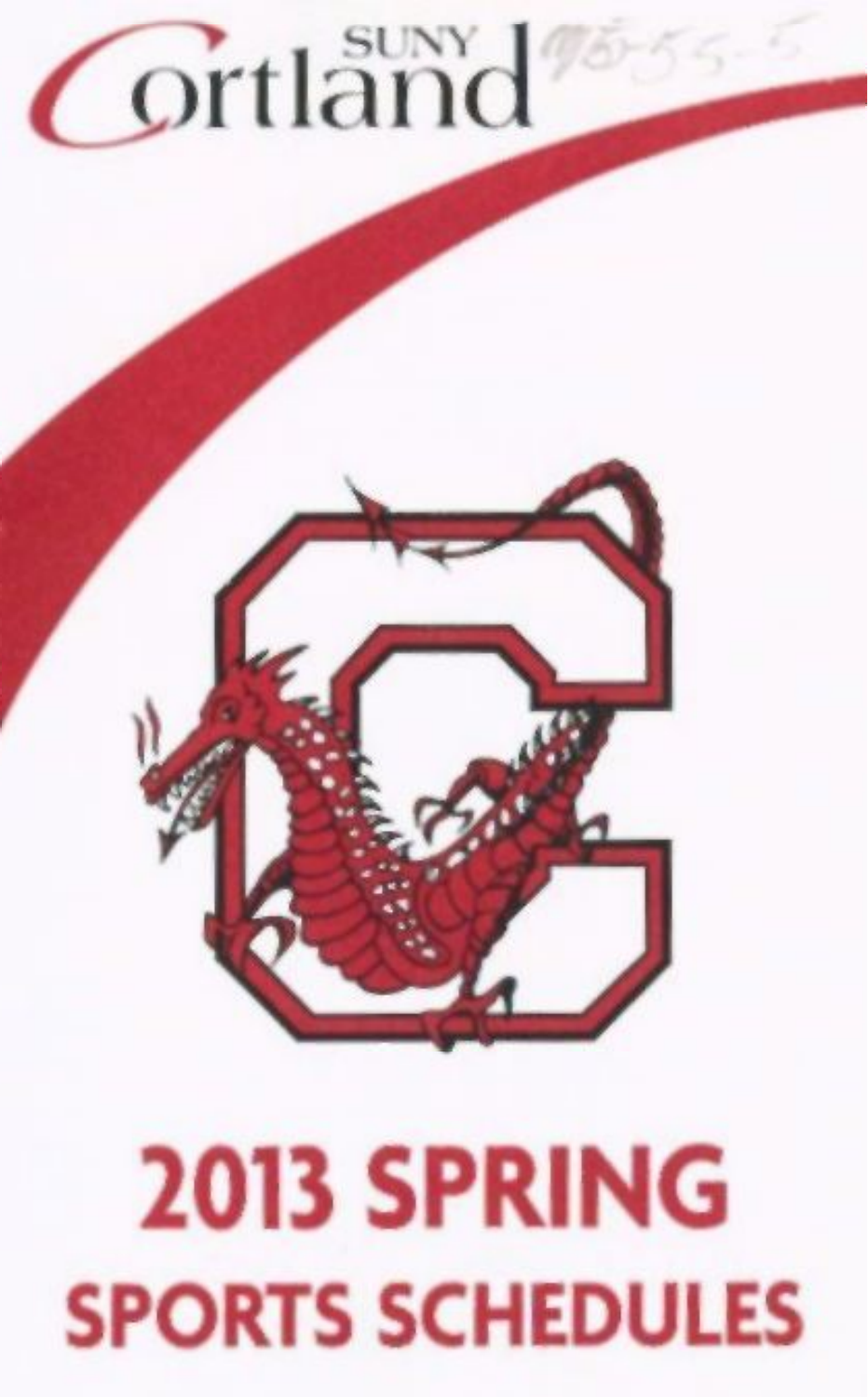# **ortland**

# **2013 SPRING**  SPORTS SCHEDULES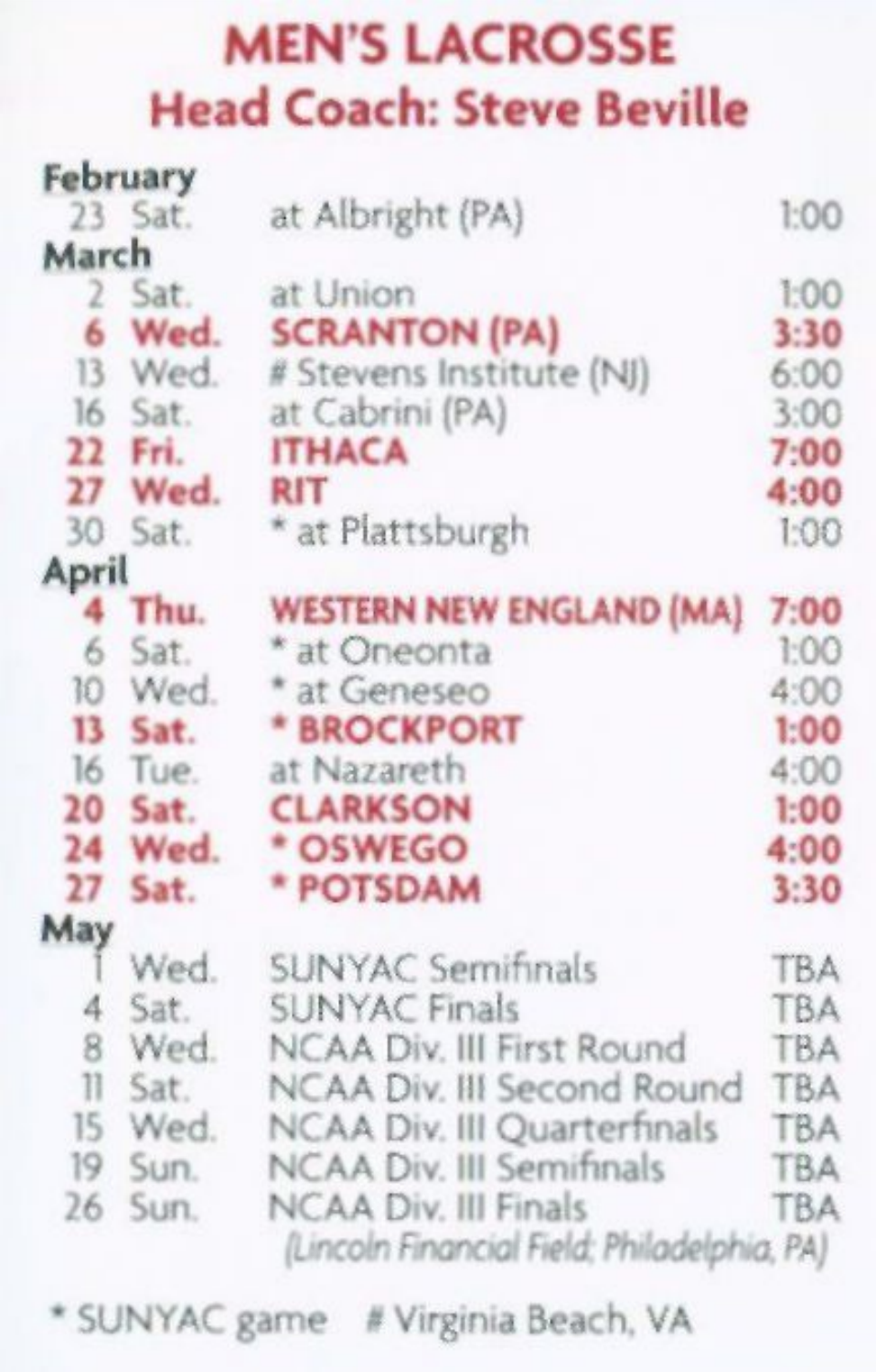#### MEN'S LACROSSE Head Coach: Steve Beville

|                         | February |                                             |            |
|-------------------------|----------|---------------------------------------------|------------|
|                         | 23 Sat.  | at Albright (PA)                            | 1:00       |
| March                   |          |                                             |            |
|                         | 2 Sat.   | at Union                                    | 1:00       |
| 6                       | Wed.     | <b>SCRANTON (PA)</b>                        | 3:30       |
|                         | 13 Wed.  | # Stevens Institute (NJ)                    | 6:00       |
|                         | 16 Sat.  | at Cabrini (PA)                             | 3:00       |
|                         | 22 Fri.  | <b>ITHACA</b>                               | 7:00       |
|                         | 27 Wed.  | <b>RIT</b>                                  | 4:00       |
| 30                      | Sat.     | * at Plattsburgh                            | 1:00       |
| April                   |          |                                             |            |
|                         | 4 Thu.   | <b>WESTERN NEW ENGLAND (MA)</b>             | 7:00       |
| 6                       | Sat.     | * at Oneonta                                | 1:00       |
| 10                      | Wed.     | * at Geneseo                                | 4:00       |
| 13 <sup>5</sup>         | Sat.     | * BROCKPORT                                 | 1:00       |
|                         | 16 Tue.  | at Nazareth                                 | 4:00       |
|                         | 20 Sat.  | <b>CLARKSON</b>                             | 1:00       |
|                         | 24 Wed.  | * OSWEGO                                    | 4:00       |
| 27                      | Sat.     | * POTSDAM                                   | 3:30       |
| May                     |          |                                             |            |
|                         | Wed.     | SUNYAC Semifinals                           | <b>TBA</b> |
| 4                       | Sat.     | <b>SUNYAC Finals</b>                        | TBA        |
| 8                       | Wed.     | NCAA Div. III First Round                   | <b>TBA</b> |
| $\overline{\mathbf{1}}$ | Sat.     | NCAA Div. III Second Round                  | TBA        |
|                         | 15 Wed.  | NCAA Div. III Quarterfinals                 | <b>TBA</b> |
|                         | 19 Sun.  | <b>NCAA Div. III Semifinals</b>             | <b>TBA</b> |
| 26                      | Sun.     | <b>NCAA Div. III Finals</b>                 | <b>TBA</b> |
|                         |          | (Lincoln Financial Field: Philadelphia, PA) |            |

\* SUNYAC game # Virginia Beach, VA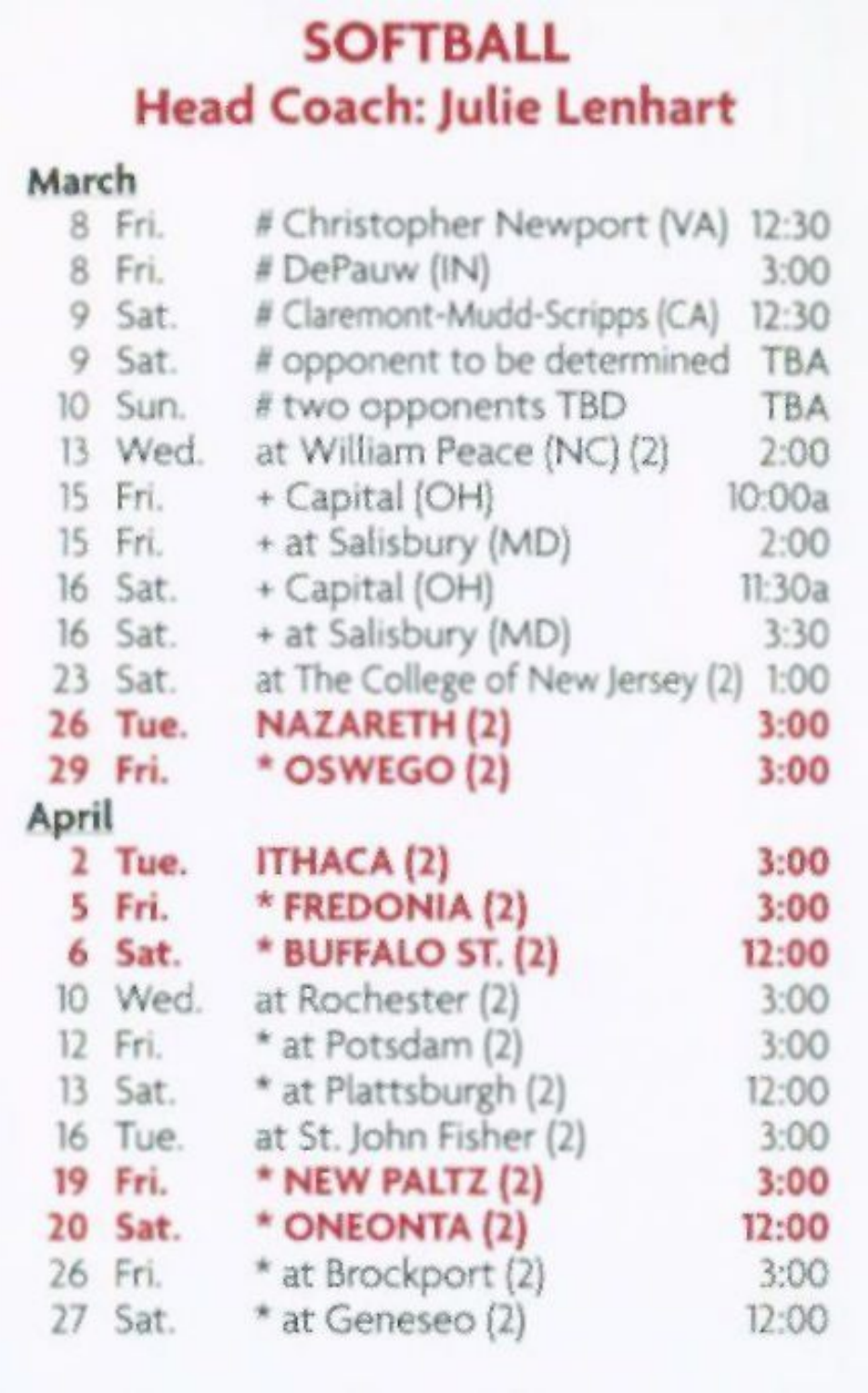#### **SOFTBALL** Head Coach: Julie Lenhart

#### **March**  8 Fri. # Christopher Newport (VA) 12:30<br>8 Fri. # DePauw (IN) 3:00 8 Fri. # DePauw (IN) 3:00<br>9 Sat. # Claremont-Mudd-Scripps (CA) 12:30 # Claremont-Mudd-Scripps (CA) 9 Sat. # opponent to be determined TBA<br>10 Sun. # two opponents TBD TBA # two opponents TBD 13 Wed. at William Peace (NC) (2) 2:00 15 Fri. + Capital (OH) 0:00a<br>15 Fri. + at Salisbury (MD) 0:00 15 Fri. + at Salisbury (MD) 2:00 + Capital (OH) 11:30a 16 Sat. + at Salisbury (MD) 3:30 23 Sat. at The College of New Jersey (2) 1:00 **26 Tue. NAZARETH (2) 3:00 29 Fri. \* OSWEGO (2) 3:00 April 2 Tue. ITHACA (2) 3:00 5 Fri. \* FREDONIA (2) 3:00 6 Sat. \* BUFFALO ST. (2) 12:00**  10 Wed. at Rochester (2) 3:00 12 Fri. \* at Potsdam (2) 3:00 13 Sat. \* at Plattsburgh (2) 12:00 16 Tue. at St. John Fisher (2) 3:00 **19 Fri. \* NEW PALTZ (2) 3:00 20 Sat. \* ONEONTA (2) 12:00**  26 Fri. \* at Brockport (2) 3:00 27 Sat. \* at Geneseo (2) 12:00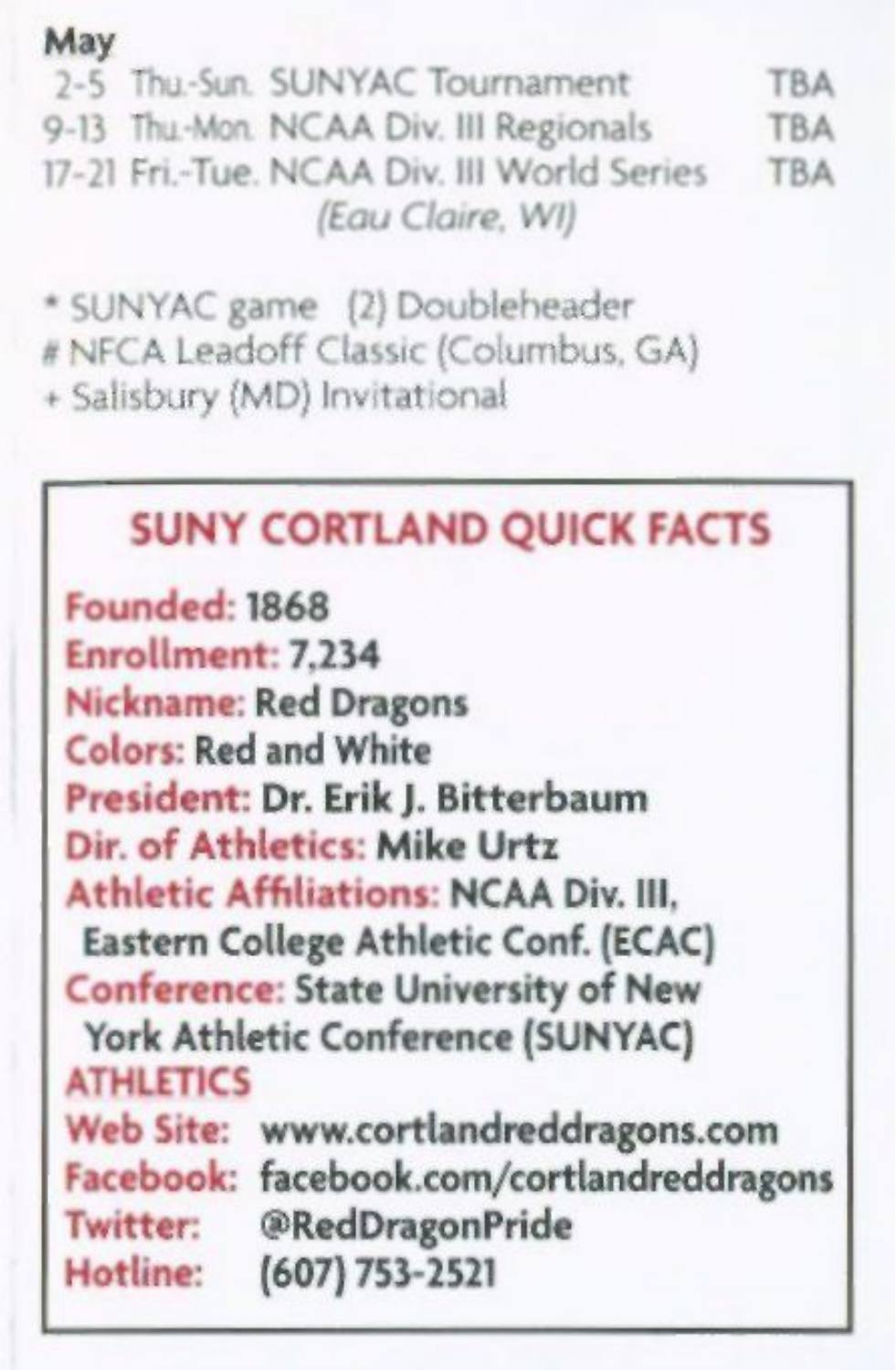#### May

2-5 Thu.-Sun. SUNYAC Tournament TBA 9-13 Thu-Mon. NCAA Div. III Regionals TBA 17-21 Fri.-Tue. NCAA Div. Ill World Series TBA *(Eau Claire, Wl)* 

\* SUNYAC game (2) Doubleheader # NFCA Leadoff Classic (Columbus. GA) + Salisbury (MD) Invitational

#### SUNY CORTLAND QUICK FACTS

Founded: 1868 Enrollment: 7,234 Nickname: Red Dragons Colors: Red and White President: Dr. Erik J. Bitterbaum Dir. of Athletics: Mike Urtz Athletic Affiliations: NCAA Div. Ill, Eastern College Athletic Conf. (ECAC) Conference: State University of New York Athletic Conference (SUNYAC) ATHLETICS Web Site: www.cortlandreddragons.com Facebook: facebook.com/cortlandreddragons Twitter: @RedDragonPride Hotline: (607) 753-2521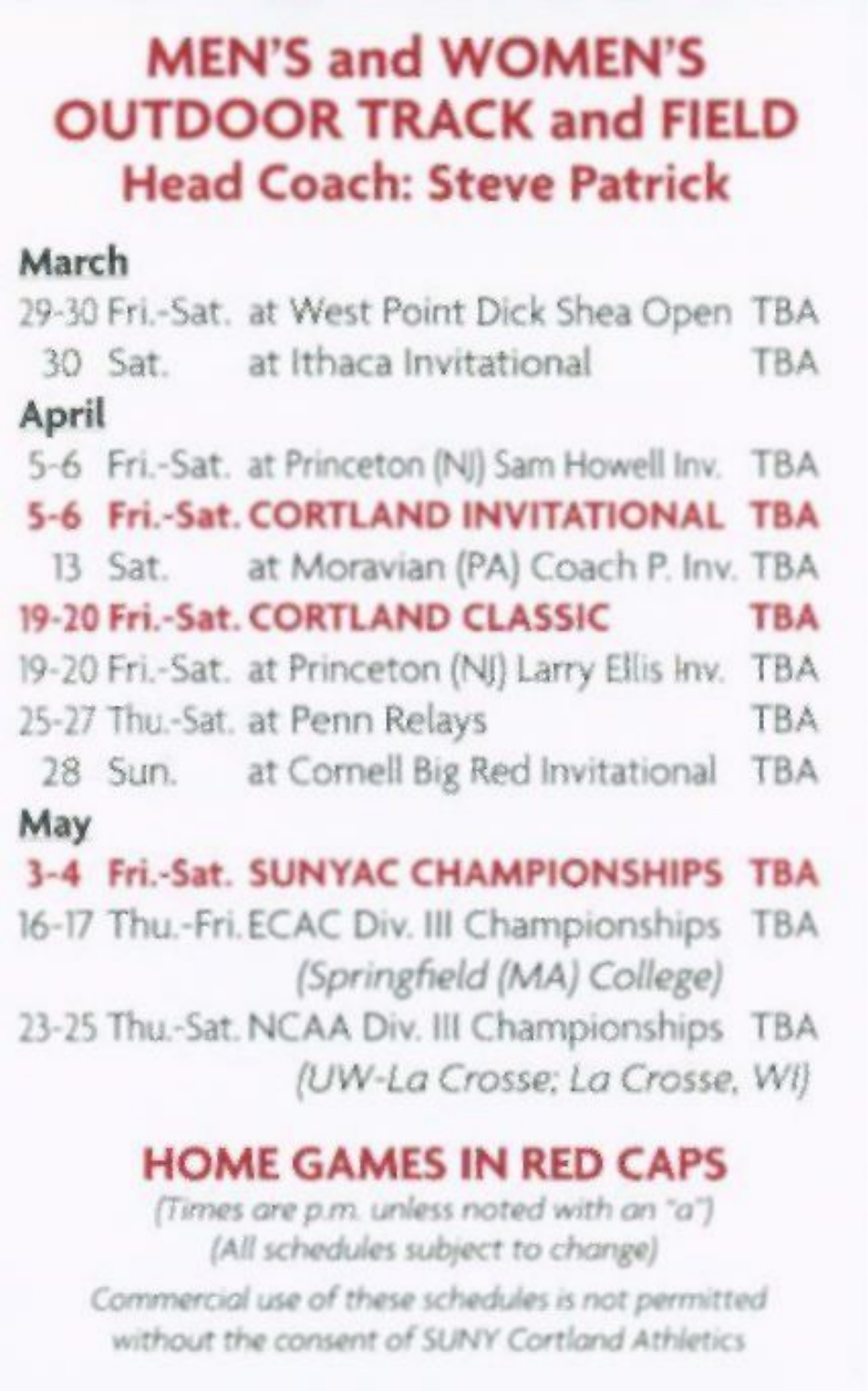#### **MEN'S and WOMEN'S OUTDOOR TRACK and FIELD Head Coach: Steve Patrick**

| March |                                                        |            |
|-------|--------------------------------------------------------|------------|
|       | 29-30 Fri.-Sat. at West Point Dick Shea Open TBA       |            |
|       | 30 Sat. at Ithaca Invitational                         | <b>TBA</b> |
| April |                                                        |            |
|       | 5-6 Fri.-Sat. at Princeton (NJ) Sam Howell Inv. TBA    |            |
|       | 5-6 Fri.-Sat. CORTLAND INVITATIONAL TBA                |            |
|       | 13 Sat. at Moravian (PA) Coach P. Inv. TBA             |            |
|       | 19-20 Fri .- Sat. CORTLAND CLASSIC                     | <b>TBA</b> |
|       | 19-20 Fri.-Sat. at Princeton (NJ) Larry Ellis Inv. TBA |            |
|       | 25-27 Thu.-Sat. at Penn Relays                         | <b>TBA</b> |
|       | 28 Sun. at Cornell Big Red Invitational TBA            |            |
| May   |                                                        |            |
|       | 3-4 Fri.-Sat. SUNYAC CHAMPIONSHIPS TBA                 |            |
|       | 16-17 Thu.-Fri. ECAC Div. III Championships TBA        |            |
|       | (Springfield (MA) College)                             |            |
|       | 23-25 Thu .- Sat. NCAA Div. III Championships TBA      |            |
|       | (UW-La Crosse; La Crosse, Wi)                          |            |
|       | <b>HOME GAMES IN RED CAPS</b>                          |            |

*(Times are p.m. unless noted with an "a") (All schedules subject to change)* 

*Commercial use of these schedules is nor permitted without the consent ofSUNY Cortland Athletics*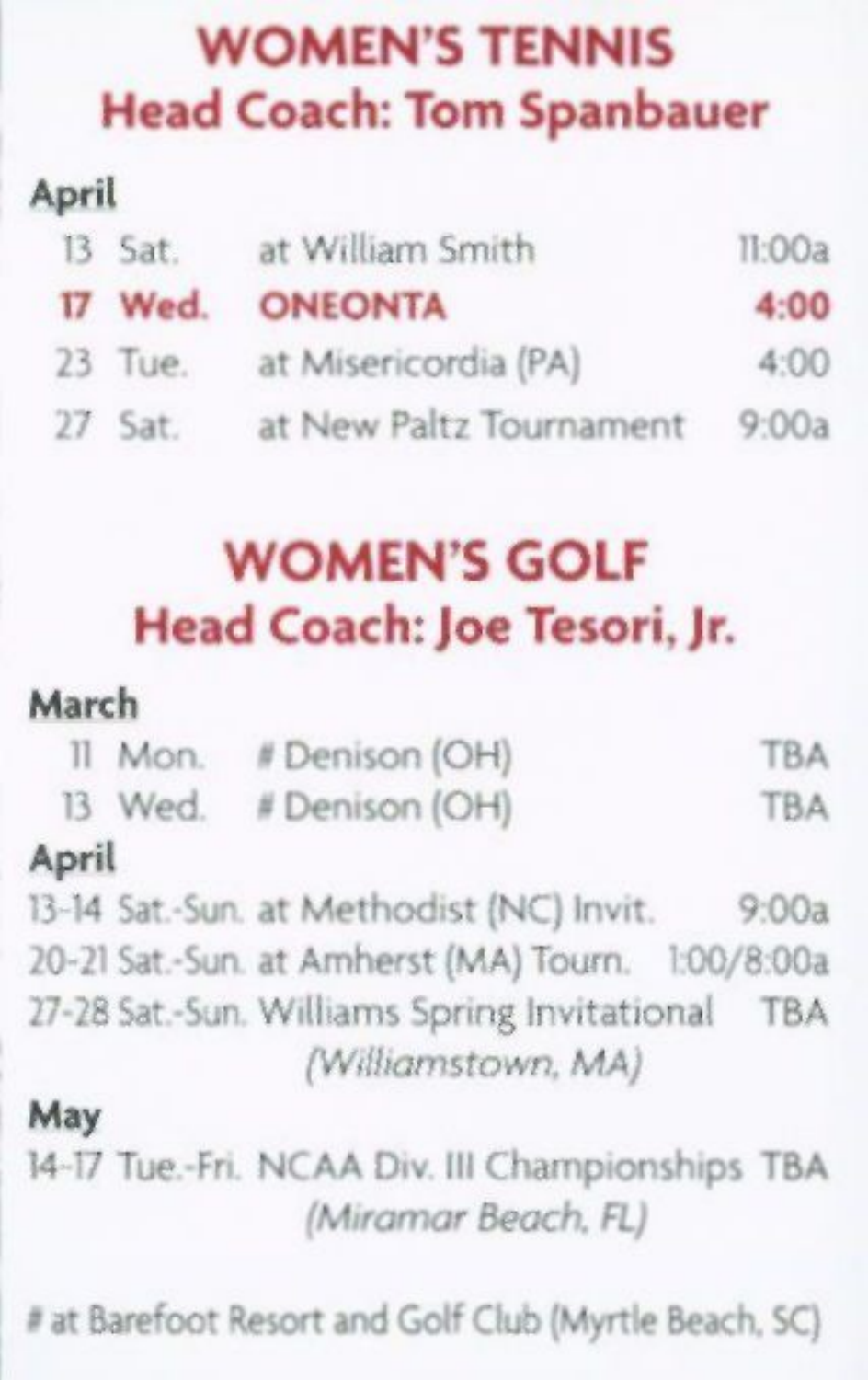#### WOMEN'S TENNIS Head Coach: Tom Spanbauer

#### **April**

| 13 Sat. | at William Smith        | II:OOa |
|---------|-------------------------|--------|
| 17 Wed. | <b>ONEONTA</b>          | 4:00   |
| 23 Tue. | at Misericordia (PA)    | 4:00   |
| 27 Sat. | at New Paltz Tournament | 9:00a  |

#### WOMEN'S GOLF Head Coach: Joe Tesori, Jr.

#### **March**

|  | 11 Mon. # Denison (OH) | <b>TBA</b> |
|--|------------------------|------------|
|  | 13 Wed. # Denison (OH) | <b>TBA</b> |

#### **April**

13-14 Sat.-Sun. at Methodist (NC) Invit. 9:00a 20-21 Sat.-Sun. at Amherst (MA) Tourn. l:00/8:00a 27-28 Sat.-Sun. Williams Spring Invitational TBA *(Williamstown, MA)* 

#### May

14-17 Tue.-Fri. NCAA Div. Ill Championships TBA *(Miramar Beach, FL)* 

# at Barefoot Resort and Golf Club (Myrtle Beach. SC)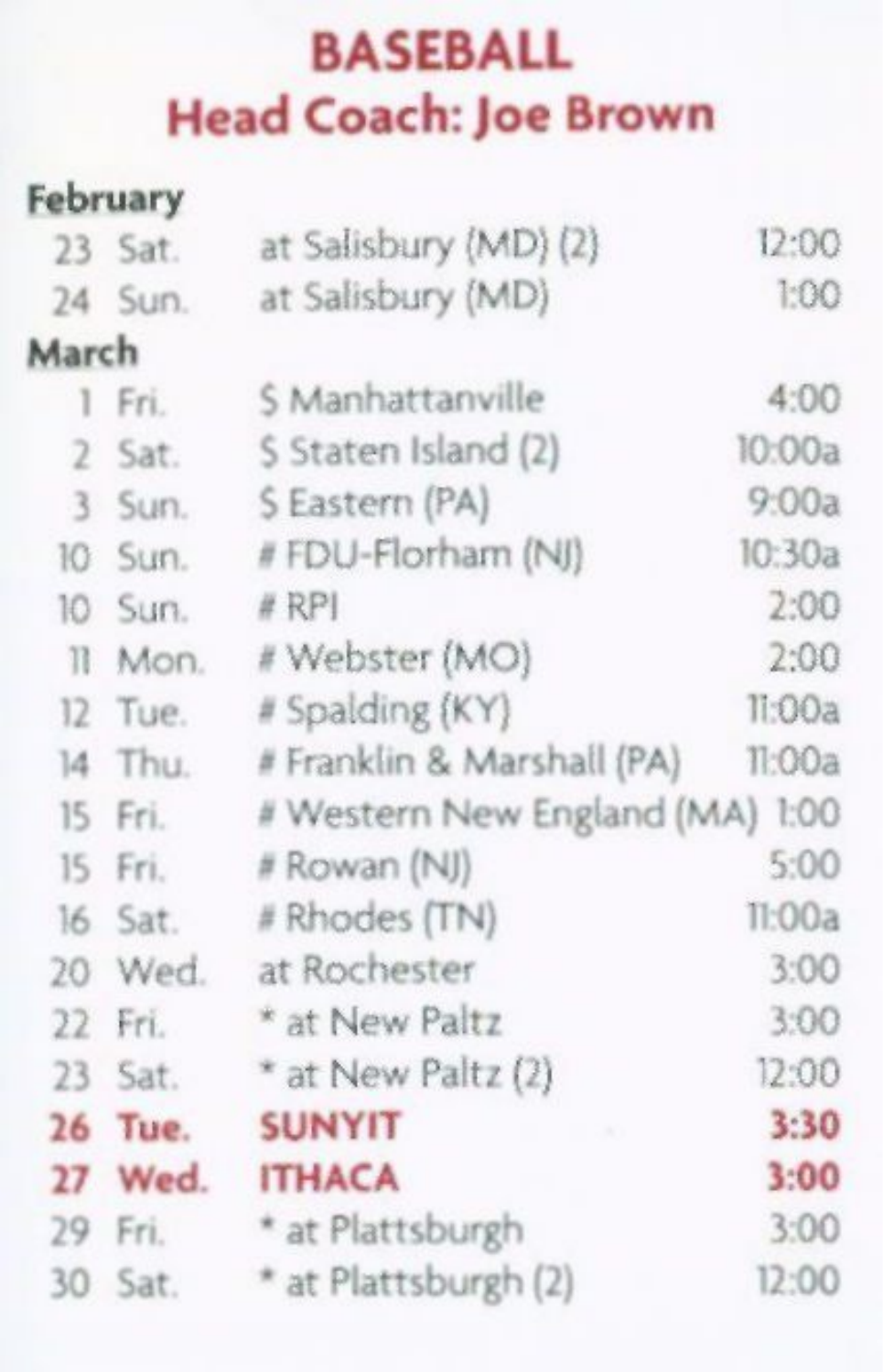#### BASEBALL Head Coach: Joe Brown

|                | February |                                 |        |
|----------------|----------|---------------------------------|--------|
|                | 23 Sat.  | at Salisbury (MD) (2)           | 12:00  |
|                | 24 Sun.  | at Salisbury (MD)               | 1:00   |
| March          |          |                                 |        |
|                | 1 Fri.   | S Manhattanville                | 4:00   |
| $\overline{2}$ | Sat.     | S Staten Island (2)             | 10:00a |
| 3              | Sun.     | S Eastern (PA)                  | 9:00a  |
| 10             | Sun.     | # FDU-Florham (NJ)              | 10:30a |
| 10             | Sun.     | # RPI                           | 2:00   |
| $\mathbb{R}$   | Mon.     | # Webster (MO)                  | 2:00   |
| 12             | Tue.     | # Spalding (KY)                 | 11:00a |
| 14             | Thu.     | # Franklin & Marshall (PA)      | 11:00a |
| 15             | Fri.     | # Western New England (MA) 1:00 |        |
| 15             | Fri.     | # Rowan (NJ)                    | 5:00   |
| 16             | Sat.     | # Rhodes (TN)                   | T1:00a |
| 20             | Wed.     | at Rochester                    | 3:00   |
| 22             | Fri.     | * at New Paltz                  | 3:00   |
| 23             | Sat.     | * at New Paltz (2)              | 12:00  |
| 26             | Tue.     | <b>SUNYIT</b>                   | 3:30   |
| 27             | Wed.     | <b>ITHACA</b>                   | 3:00   |
|                | 29 Fri.  | * at Plattsburgh                | 3:00   |
|                | 30 Sat.  | * at Plattsburgh (2)            | 12:00  |
|                |          |                                 |        |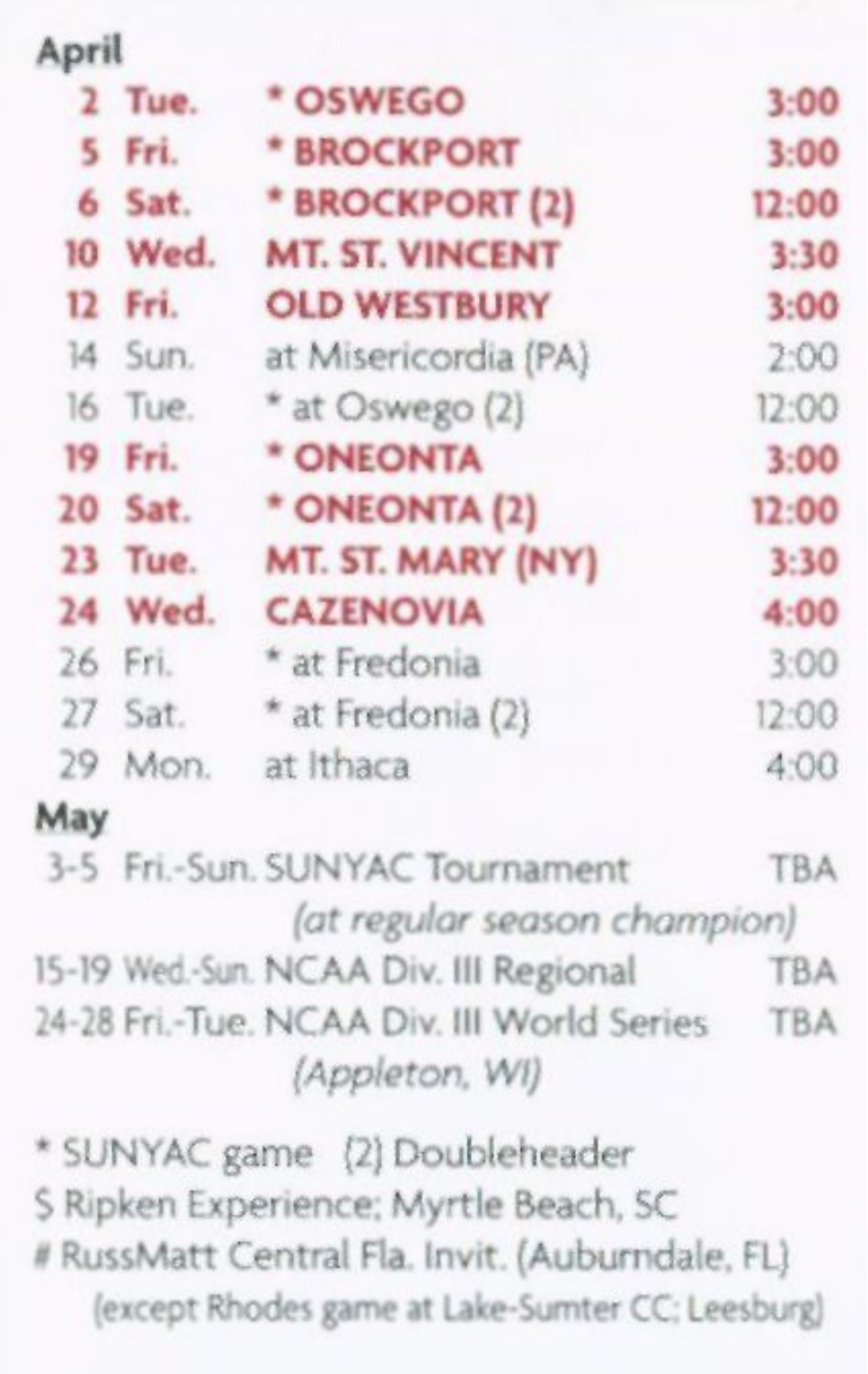| April |         |                        |       |
|-------|---------|------------------------|-------|
|       | 2 Tue.  | * OSWEGO               | 3:00  |
|       | 5 Fri.  | * BROCKPORT            | 3:00  |
|       | 6 Sat.  | * BROCKPORT (2)        | 12:00 |
|       | 10 Wed. | <b>MT. ST. VINCENT</b> | 3:30  |
|       | 12 Fri. | <b>OLD WESTBURY</b>    | 3:00  |
|       | 14 Sun. | at Misericordia (PA)   | 2:00  |
|       | 16 Tue. | * at Oswego (2)        | 12:00 |
|       | 19 Fri. | * ONEONTA              | 3:00  |
|       | 20 Sat. | * ONEONTA (2)          | 12:00 |
|       | 23 Tue. | MT. ST. MARY (NY)      | 3:30  |
|       | 24 Wed. | <b>CAZENOVIA</b>       | 4:00  |
|       | 26 Fri. | * at Fredonia          | 3:00  |
|       | 27 Sat. | * at Fredonia (2)      | 12:00 |
|       | 29 Mon. | at Ithaca              | 4:00  |
| May   |         |                        |       |

| 3-5 Fri.-Sun. SUNYAC Tournament            | <b>TBA</b> |
|--------------------------------------------|------------|
| (at regular season champion)               |            |
| 15-19 Wed -Sun. NCAA Div. III Regional     | <b>TBA</b> |
| 24-28 Fri.-Tue, NCAA Div. III World Series | <b>TBA</b> |
| (Appleton, WI)                             |            |

\* SUNYAC game (2) Doubleheader \$ Ripken Experience; Myrtle Beach, SC # RussMatt Central Fla. Invit. (Auburndale, FL) (except Rhodes game at Lake-Sumter CC; Leesburg)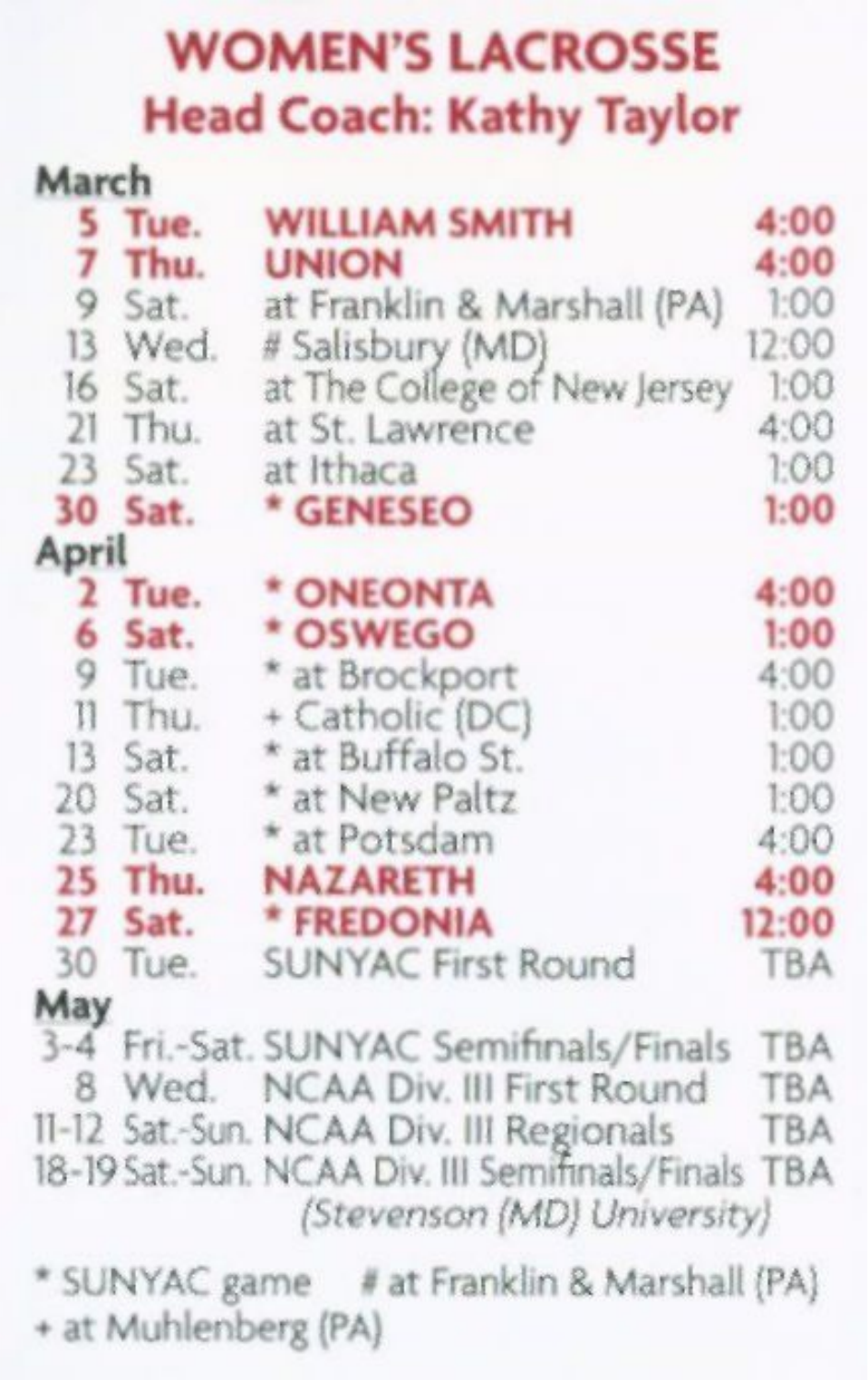#### WOMEN'S LACROSSE Head Coach: Kathy Taylor

| March |           |                                                                                    |            |
|-------|-----------|------------------------------------------------------------------------------------|------------|
|       | 5 Tue.    | <b>WILLIAM SMITH</b>                                                               | 4:00       |
|       | 7 Thu.    | <b>UNION</b>                                                                       | 4:00       |
|       | 9 Sat.    | at Franklin & Marshall (PA)                                                        | 1:00       |
|       | 13 Wed.   | # Salisbury (MD)                                                                   | 12:00      |
|       | 16 Sat.   | at The College of New Jersey                                                       | 1:00       |
|       | $21$ Thu. | at St. Lawrence                                                                    | 4:00       |
|       | 23 Sat.   | at Ithaca                                                                          | 1:00       |
|       | 30 Sat.   | * GENESEO                                                                          | 1:00       |
| April |           |                                                                                    |            |
|       | 2 Tue.    | * ONEONTA                                                                          | 4:00       |
| 6     | Sat.      | * OSWEGO                                                                           | 1:00       |
|       | 9 Tue.    | * at Brockport                                                                     | 4:00       |
|       | Il Thu.   | + Catholic (DC)                                                                    | 1:00       |
|       | $13$ Sat. | * at Buffalo St.                                                                   | 1:00       |
|       | 20 Sat.   | * at New Paltz                                                                     | 1:00       |
|       | $23$ Tue. | * at Potsdam                                                                       | 4:00       |
|       | 25 Thu.   | <b>NAZARETH</b>                                                                    | 4:00       |
|       | 27 Sat.   | * FREDONIA                                                                         | 12:00      |
|       | 30 Tue.   | <b>SUNYAC First Round</b>                                                          | <b>TBA</b> |
| May   |           |                                                                                    |            |
|       |           | 3-4 Fri.-Sat. SUNYAC Semifinals/Finals TBA                                         |            |
|       |           | 8 Wed. NCAA Div. III First Round TBA                                               |            |
|       |           | 11-12 Sat.-Sun. NCAA Div. III Regionals TBA                                        |            |
|       |           | 18-19 Sat.-Sun. NCAA Div. III Semifinals/Finals TBA<br>(Stevenson (MD) University) |            |
|       |           | * SUNYAC game # at Franklin & Marshall (PA)<br>$-14.11 - 1 - 1 - 1211$             |            |

+ at Muhlenberg (PA)